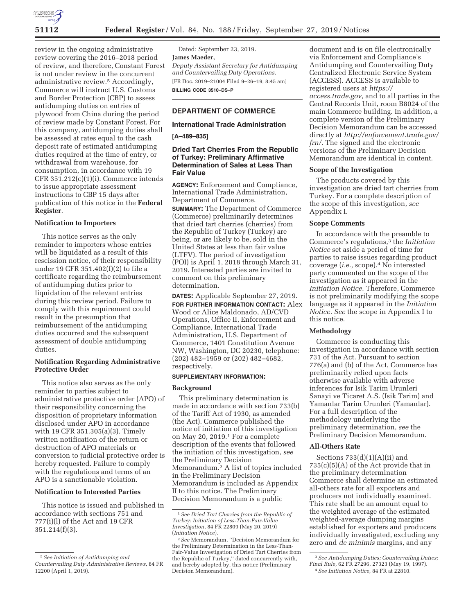

review in the ongoing administrative review covering the 2016–2018 period of review, and therefore, Constant Forest is not under review in the concurrent administrative review.5 Accordingly, Commerce will instruct U.S. Customs and Border Protection (CBP) to assess antidumping duties on entries of plywood from China during the period of review made by Constant Forest. For this company, antidumping duties shall be assessed at rates equal to the cash deposit rate of estimated antidumping duties required at the time of entry, or withdrawal from warehouse, for consumption, in accordance with 19 CFR 351.212(c)(1)(i). Commerce intends to issue appropriate assessment instructions to CBP 15 days after publication of this notice in the **Federal Register**.

# **Notification to Importers**

This notice serves as the only reminder to importers whose entries will be liquidated as a result of this rescission notice, of their responsibility under 19 CFR 351.402(f)(2) to file a certificate regarding the reimbursement of antidumping duties prior to liquidation of the relevant entries during this review period. Failure to comply with this requirement could result in the presumption that reimbursement of the antidumping duties occurred and the subsequent assessment of double antidumping duties.

# **Notification Regarding Administrative Protective Order**

This notice also serves as the only reminder to parties subject to administrative protective order (APO) of their responsibility concerning the disposition of proprietary information disclosed under APO in accordance with 19 CFR 351.305(a)(3). Timely written notification of the return or destruction of APO materials or conversion to judicial protective order is hereby requested. Failure to comply with the regulations and terms of an APO is a sanctionable violation.

# **Notification to Interested Parties**

This notice is issued and published in accordance with sections 751 and 777(i)(l) of the Act and 19 CFR 351.214(f)(3).

Dated: September 23, 2019. **James Maeder,**  *Deputy Assistant Secretary for Antidumping and Countervailing Duty Operations.*  [FR Doc. 2019–21004 Filed 9–26–19; 8:45 am] **BILLING CODE 3510–DS–P** 

# **DEPARTMENT OF COMMERCE**

# **International Trade Administration**

**[A–489–835]** 

# **Dried Tart Cherries From the Republic of Turkey: Preliminary Affirmative Determination of Sales at Less Than Fair Value**

**AGENCY:** Enforcement and Compliance, International Trade Administration, Department of Commerce.

**SUMMARY:** The Department of Commerce (Commerce) preliminarily determines that dried tart cherries (cherries) from the Republic of Turkey (Turkey) are being, or are likely to be, sold in the United States at less than fair value (LTFV). The period of investigation (POI) is April 1, 2018 through March 31, 2019. Interested parties are invited to comment on this preliminary determination.

**DATES:** Applicable September 27, 2019. **FOR FURTHER INFORMATION CONTACT:** Alex Wood or Alice Maldonado, AD/CVD Operations, Office II, Enforcement and Compliance, International Trade Administration, U.S. Department of Commerce, 1401 Constitution Avenue NW, Washington, DC 20230, telephone: (202) 482–1959 or (202) 482–4682, respectively.

#### **SUPPLEMENTARY INFORMATION:**

# **Background**

This preliminary determination is made in accordance with section 733(b) of the Tariff Act of 1930, as amended (the Act). Commerce published the notice of initiation of this investigation on May 20, 2019.1 For a complete description of the events that followed the initiation of this investigation, *see*  the Preliminary Decision Memorandum.2 A list of topics included in the Preliminary Decision Memorandum is included as Appendix II to this notice. The Preliminary Decision Memorandum is a public

document and is on file electronically via Enforcement and Compliance's Antidumping and Countervailing Duty Centralized Electronic Service System (ACCESS). ACCESS is available to registered users at *https:// access.trade.gov,* and to all parties in the Central Records Unit, room B8024 of the main Commerce building. In addition, a complete version of the Preliminary Decision Memorandum can be accessed directly at *http://enforcement.trade.gov/ frn/.* The signed and the electronic versions of the Preliminary Decision Memorandum are identical in content.

#### **Scope of the Investigation**

The products covered by this investigation are dried tart cherries from Turkey. For a complete description of the scope of this investigation, *see*  Appendix I.

# **Scope Comments**

In accordance with the preamble to Commerce's regulations,3 the *Initiation Notice* set aside a period of time for parties to raise issues regarding product coverage (*i.e.,* scope).4 No interested party commented on the scope of the investigation as it appeared in the *Initiation Notice.* Therefore, Commerce is not preliminarily modifying the scope language as it appeared in the *Initiation Notice. See* the scope in Appendix I to this notice.

# **Methodology**

Commerce is conducting this investigation in accordance with section 731 of the Act. Pursuant to section 776(a) and (b) of the Act, Commerce has preliminarily relied upon facts otherwise available with adverse inferences for Isik Tarim Urunleri Sanayi ve Ticaret A.S. (Isik Tarim) and Yamanlar Tarim Urunleri (Yamanlar). For a full description of the methodology underlying the preliminary determination, *see* the Preliminary Decision Memorandum.

# **All-Others Rate**

Sections 733(d)(1)(A)(ii) and 735(c)(5)(A) of the Act provide that in the preliminary determination Commerce shall determine an estimated all-others rate for all exporters and producers not individually examined. This rate shall be an amount equal to the weighted average of the estimated weighted-average dumping margins established for exporters and producers individually investigated, excluding any zero and *de minimis* margins, and any

<sup>5</sup>*See Initiation of Antidumping and Countervailing Duty Administrative Reviews,* 84 FR 12200 (April 1, 2019).

<sup>1</sup>*See Dried Tart Cherries from the Republic of Turkey: Initiation of Less-Than-Fair-Value Investigation,* 84 FR 22809 (May 20, 2019) (*Initiation Notice*).

<sup>2</sup>*See* Memorandum, ''Decision Memorandum for the Preliminary Determination in the Less-Than-Fair-Value Investigation of Dried Tart Cherries from the Republic of Turkey,'' dated concurrently with, and hereby adopted by, this notice (Preliminary Decision Memorandum).

<sup>3</sup>*See Antidumping Duties; Countervailing Duties; Final Rule,* 62 FR 27296, 27323 (May 19, 1997). 4*See Initiation Notice,* 84 FR at 22810.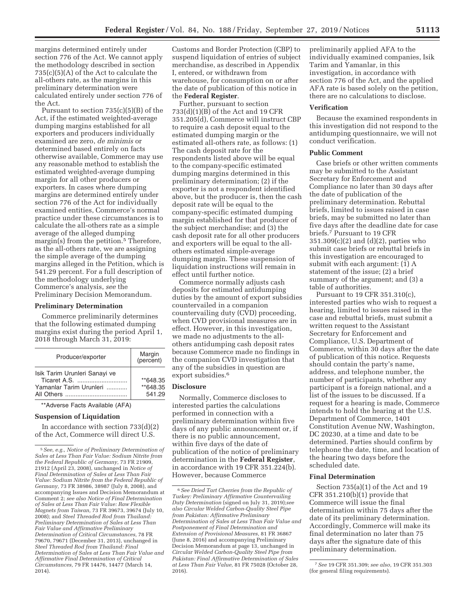margins determined entirely under section 776 of the Act. We cannot apply the methodology described in section 735(c)(5)(A) of the Act to calculate the all-others rate, as the margins in this preliminary determination were calculated entirely under section 776 of the Act.

Pursuant to section 735(c)(5)(B) of the Act, if the estimated weighted-average dumping margins established for all exporters and producers individually examined are zero, *de minimis* or determined based entirely on facts otherwise available, Commerce may use any reasonable method to establish the estimated weighted-average dumping margin for all other producers or exporters. In cases where dumping margins are determined entirely under section 776 of the Act for individually examined entities, Commerce's normal practice under these circumstances is to calculate the all-others rate as a simple average of the alleged dumping margin(s) from the petition.<sup>5</sup> Therefore, as the all-others rate, we are assigning the simple average of the dumping margins alleged in the Petition, which is 541.29 percent. For a full description of the methodology underlying Commerce's analysis, *see* the Preliminary Decision Memorandum.

#### **Preliminary Determination**

Commerce preliminarily determines that the following estimated dumping margins exist during the period April 1, 2018 through March 31, 2019:

| Producer/exporter                                                        | Margin<br>(percent)            |
|--------------------------------------------------------------------------|--------------------------------|
| Isik Tarim Urunleri Sanayi ve<br>Ticaret A.S.<br>Yamanlar Tarim Urunleri | **648.35<br>**648.35<br>541.29 |

\*\*Adverse Facts Available (AFA)

# **Suspension of Liquidation**

In accordance with section  $733(d)(2)$ of the Act, Commerce will direct U.S.

Customs and Border Protection (CBP) to suspend liquidation of entries of subject merchandise, as described in Appendix I, entered, or withdrawn from warehouse, for consumption on or after the date of publication of this notice in the **Federal Register**.

Further, pursuant to section 733(d)(1)(B) of the Act and 19 CFR 351.205(d), Commerce will instruct CBP to require a cash deposit equal to the estimated dumping margin or the estimated all-others rate, as follows: (1) The cash deposit rate for the respondents listed above will be equal to the company-specific estimated dumping margins determined in this preliminary determination; (2) if the exporter is not a respondent identified above, but the producer is, then the cash deposit rate will be equal to the company-specific estimated dumping margin established for that producer of the subject merchandise; and (3) the cash deposit rate for all other producers and exporters will be equal to the allothers estimated simple-average dumping margin. These suspension of liquidation instructions will remain in effect until further notice.

Commerce normally adjusts cash deposits for estimated antidumping duties by the amount of export subsidies countervailed in a companion countervailing duty (CVD) proceeding, when CVD provisional measures are in effect. However, in this investigation, we made no adjustments to the allothers antidumping cash deposit rates because Commerce made no findings in the companion CVD investigation that any of the subsidies in question are export subsidies.<sup>6</sup>

# **Disclosure**

Normally, Commerce discloses to interested parties the calculations performed in connection with a preliminary determination within five days of any public announcement or, if there is no public announcement, within five days of the date of publication of the notice of preliminary determination in the **Federal Register**, in accordance with 19 CFR 351.224(b). However, because Commerce

preliminarily applied AFA to the individually examined companies, Isik Tarim and Yamanlar, in this investigation, in accordance with section 776 of the Act, and the applied AFA rate is based solely on the petition, there are no calculations to disclose.

#### **Verification**

Because the examined respondents in this investigation did not respond to the antidumping questionnaire, we will not conduct verification.

#### **Public Comment**

Case briefs or other written comments may be submitted to the Assistant Secretary for Enforcement and Compliance no later than 30 days after the date of publication of the preliminary determination. Rebuttal briefs, limited to issues raised in case briefs, may be submitted no later than five days after the deadline date for case briefs.7 Pursuant to 19 CFR 351.309(c)(2) and (d)(2), parties who submit case briefs or rebuttal briefs in this investigation are encouraged to submit with each argument: (1) A statement of the issue; (2) a brief summary of the argument; and (3) a table of authorities.

Pursuant to 19 CFR 351.310(c), interested parties who wish to request a hearing, limited to issues raised in the case and rebuttal briefs, must submit a written request to the Assistant Secretary for Enforcement and Compliance, U.S. Department of Commerce, within 30 days after the date of publication of this notice. Requests should contain the party's name, address, and telephone number, the number of participants, whether any participant is a foreign national, and a list of the issues to be discussed. If a request for a hearing is made, Commerce intends to hold the hearing at the U.S. Department of Commerce, 1401 Constitution Avenue NW, Washington, DC 20230, at a time and date to be determined. Parties should confirm by telephone the date, time, and location of the hearing two days before the scheduled date.

#### **Final Determination**

Section 735(a)(1) of the Act and 19 CFR 351.210(b)(1) provide that Commerce will issue the final determination within 75 days after the date of its preliminary determination. Accordingly, Commerce will make its final determination no later than 75 days after the signature date of this preliminary determination.

<sup>5</sup>*See, e.g., Notice of Preliminary Determination of Sales at Less Than Fair Value: Sodium Nitrite from the Federal Republic of Germany,* 73 FR 21909, 21912 (April 23, 2008), unchanged in *Notice of Final Determination of Sales at Less Than Fair Value: Sodium Nitrite from the Federal Republic of Germany,* 73 FR 38986, 38987 (July 8, 2008), and accompanying Issues and Decision Memorandum at Comment 2; *see also Notice of Final Determination of Sales at Less Than Fair Value: Raw Flexible Magnets from Taiwan,* 73 FR 39673, 39674 (July 10, 2008); and *Steel Threaded Rod from Thailand: Preliminary Determination of Sales at Less Than Fair Value and Affirmative Preliminary Determination of Critical Circumstances,* 78 FR 79670, 79671 (December 31, 2013), unchanged in *Steel Threaded Rod from Thailand: Final Determination of Sales at Less Than Fair Value and Affirmative Final Determination of Critical Circumstances,* 79 FR 14476, 14477 (March 14, 2014).

<sup>6</sup>*See Dried Tart Cherries from the Republic of Turkey: Preliminary Affirmative Countervailing Duty Determination* (signed on July 31, 2019);*see also Circular Welded Carbon-Quality Steel Pipe from Pakistan: Affirmative Preliminary Determination of Sales at Less Than Fair Value and Postponement of Final Determination and Extension of Provisional Measures,* 81 FR 36867 (June 8, 2016) and accompanying Preliminary Decision Memorandum at page 13, unchanged in *Circular Welded Carbon-Quality Steel Pipe from Pakistan: Final Affirmative Determination of Sales at Less Than Fair Value,* 81 FR 75028 (October 28, 2016).

<sup>7</sup>*See* 19 CFR 351.309; *see also,* 19 CFR 351.303 (for general filing requirements).